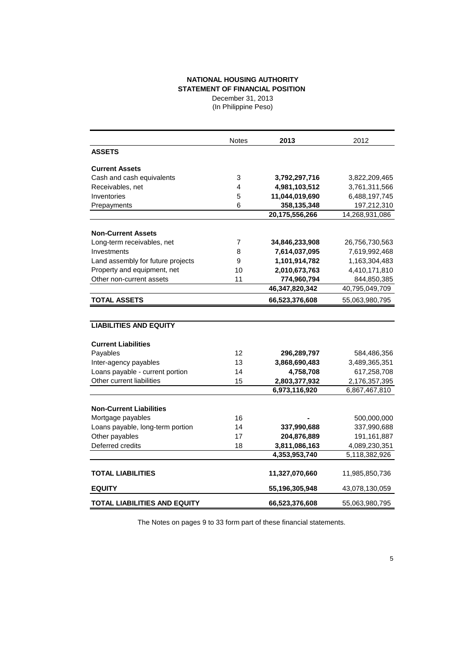## **NATIONAL HOUSING AUTHORITY STATEMENT OF FINANCIAL POSITION**

December 31, 2013 (In Philippine Peso)

|                                   | <b>Notes</b> | 2013           | 2012           |
|-----------------------------------|--------------|----------------|----------------|
| <b>ASSETS</b>                     |              |                |                |
| <b>Current Assets</b>             |              |                |                |
| Cash and cash equivalents         | 3            | 3,792,297,716  | 3,822,209,465  |
| Receivables, net                  | 4            | 4,981,103,512  | 3,761,311,566  |
| Inventories                       | 5            | 11,044,019,690 | 6,488,197,745  |
| Prepayments                       | 6            | 358,135,348    | 197,212,310    |
|                                   |              | 20,175,556,266 | 14,268,931,086 |
| <b>Non-Current Assets</b>         |              |                |                |
| Long-term receivables, net        | 7            | 34,846,233,908 | 26,756,730,563 |
| Investments                       | 8            | 7,614,037,095  | 7,619,992,468  |
| Land assembly for future projects | 9            | 1,101,914,782  | 1,163,304,483  |
| Property and equipment, net       | 10           | 2,010,673,763  | 4,410,171,810  |
| Other non-current assets          | 11           | 774,960,794    | 844,850,385    |
|                                   |              | 46,347,820,342 | 40,795,049,709 |
| <b>TOTAL ASSETS</b>               |              | 66,523,376,608 | 55,063,980,795 |
|                                   |              |                |                |
| <b>LIABILITIES AND EQUITY</b>     |              |                |                |
| <b>Current Liabilities</b>        |              |                |                |
| Payables                          | 12           | 296,289,797    | 584,486,356    |
| Inter-agency payables             | 13           | 3,868,690,483  | 3,489,365,351  |
| Loans payable - current portion   | 14           | 4,758,708      | 617,258,708    |
| Other current liabilities         | 15           | 2,803,377,932  | 2,176,357,395  |
|                                   |              | 6,973,116,920  | 6,867,467,810  |
|                                   |              |                |                |
| <b>Non-Current Liabilities</b>    |              |                |                |
| Mortgage payables                 | 16           |                | 500,000,000    |
| Loans payable, long-term portion  | 14           | 337,990,688    | 337,990,688    |
| Other payables                    | 17           | 204,876,889    | 191,161,887    |
| Deferred credits                  | 18           | 3,811,086,163  | 4,089,230,351  |
|                                   |              | 4,353,953,740  | 5,118,382,926  |
| <b>TOTAL LIABILITIES</b>          |              | 11,327,070,660 | 11,985,850,736 |
| <b>EQUITY</b>                     |              | 55,196,305,948 | 43,078,130,059 |
| TOTAL LIABILITIES AND EQUITY      |              | 66,523,376,608 | 55,063,980,795 |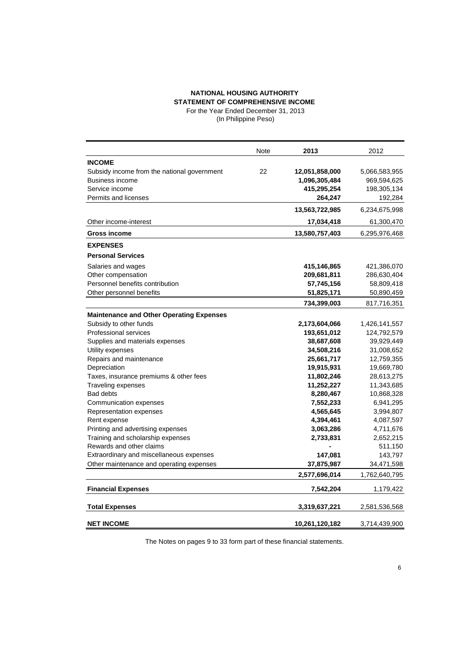## **NATIONAL HOUSING AUTHORITY STATEMENT OF COMPREHENSIVE INCOME**  For the Year Ended December 31, 2013

(In Philippine Peso)

|                                                 | Note | 2013           | 2012          |
|-------------------------------------------------|------|----------------|---------------|
| <b>INCOME</b>                                   |      |                |               |
| Subsidy income from the national government     | 22   | 12,051,858,000 | 5,066,583,955 |
| <b>Business income</b>                          |      | 1,096,305,484  | 969,594,625   |
| Service income                                  |      | 415,295,254    | 198,305,134   |
| Permits and licenses                            |      | 264,247        | 192,284       |
|                                                 |      | 13,563,722,985 | 6,234,675,998 |
| Other income-interest                           |      | 17,034,418     | 61,300,470    |
| <b>Gross income</b>                             |      | 13,580,757,403 | 6,295,976,468 |
| <b>EXPENSES</b>                                 |      |                |               |
| <b>Personal Services</b>                        |      |                |               |
| Salaries and wages                              |      | 415,146,865    | 421,386,070   |
| Other compensation                              |      | 209,681,811    | 286,630,404   |
| Personnel benefits contribution                 |      | 57,745,156     | 58,809,418    |
| Other personnel benefits                        |      | 51,825,171     | 50,890,459    |
|                                                 |      | 734,399,003    | 817,716,351   |
| <b>Maintenance and Other Operating Expenses</b> |      |                |               |
| Subsidy to other funds                          |      | 2,173,604,066  | 1,426,141,557 |
| Professional services                           |      | 193,651,012    | 124,792,579   |
| Supplies and materials expenses                 |      | 38,687,608     | 39,929,449    |
| Utility expenses                                |      | 34,508,216     | 31,008,652    |
| Repairs and maintenance                         |      | 25,661,717     | 12,759,355    |
| Depreciation                                    |      | 19,915,931     | 19,669,780    |
| Taxes, insurance premiums & other fees          |      | 11,802,246     | 28,613,275    |
| Traveling expenses                              |      | 11,252,227     | 11,343,685    |
| <b>Bad debts</b>                                |      | 8,280,467      | 10,868,328    |
| Communication expenses                          |      | 7,552,233      | 6,941,295     |
| Representation expenses                         |      | 4,565,645      | 3,994,807     |
| Rent expense                                    |      | 4,394,461      | 4,087,597     |
| Printing and advertising expenses               |      | 3,063,286      | 4,711,676     |
| Training and scholarship expenses               |      | 2,733,831      | 2,652,215     |
| Rewards and other claims                        |      |                | 511,150       |
| Extraordinary and miscellaneous expenses        |      | 147,081        | 143,797       |
| Other maintenance and operating expenses        |      | 37,875,987     | 34,471,598    |
|                                                 |      | 2,577,696,014  | 1,762,640,795 |
| <b>Financial Expenses</b>                       |      | 7,542,204      | 1,179,422     |
| <b>Total Expenses</b>                           |      | 3,319,637,221  | 2,581,536,568 |
|                                                 |      |                |               |
| <b>NET INCOME</b>                               |      | 10,261,120,182 | 3,714,439,900 |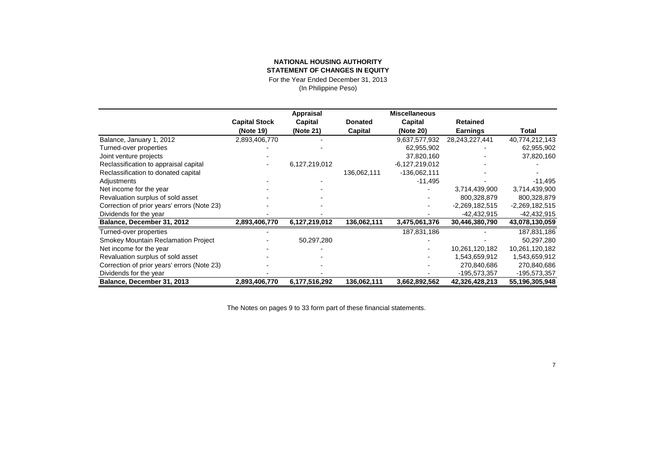## **NATIONAL HOUSING AUTHORITY STATEMENT OF CHANGES IN EQUITY**

For the Year Ended December 31, 2013

(In Philippine Peso)

|                                             |                      | Appraisal     |                | <b>Miscellaneous</b> |                  |                  |
|---------------------------------------------|----------------------|---------------|----------------|----------------------|------------------|------------------|
|                                             | <b>Capital Stock</b> | Capital       | <b>Donated</b> | Capital              | <b>Retained</b>  |                  |
|                                             | (Note 19)            | (Note 21)     | Capital        | (Note 20)            | <b>Earnings</b>  | Total            |
| Balance, January 1, 2012                    | 2,893,406,770        |               |                | 9,637,577,932        | 28,243,227,441   | 40,774,212,143   |
| Turned-over properties                      |                      |               |                | 62,955,902           |                  | 62,955,902       |
| Joint venture projects                      |                      |               |                | 37,820,160           |                  | 37,820,160       |
| Reclassification to appraisal capital       |                      | 6,127,219,012 |                | $-6,127,219,012$     |                  |                  |
| Reclassification to donated capital         |                      |               | 136,062,111    | $-136,062,111$       |                  |                  |
| Adjustments                                 |                      |               |                | $-11,495$            |                  | -11,495          |
| Net income for the year                     |                      |               |                |                      | 3,714,439,900    | 3,714,439,900    |
| Revaluation surplus of sold asset           |                      |               |                |                      | 800,328,879      | 800,328,879      |
| Correction of prior years' errors (Note 23) |                      |               |                |                      | $-2,269,182,515$ | $-2,269,182,515$ |
| Dividends for the year                      |                      |               |                |                      | -42,432,915      | $-42,432,915$    |
| Balance, December 31, 2012                  | 2,893,406,770        | 6,127,219,012 | 136,062,111    | 3,475,061,376        | 30,446,380,790   | 43,078,130,059   |
| Turned-over properties                      |                      |               |                | 187,831,186          |                  | 187,831,186      |
| <b>Smokey Mountain Reclamation Project</b>  |                      | 50,297,280    |                |                      |                  | 50,297,280       |
| Net income for the year                     |                      |               |                |                      | 10,261,120,182   | 10,261,120,182   |
| Revaluation surplus of sold asset           |                      |               |                |                      | 1,543,659,912    | 1,543,659,912    |
| Correction of prior years' errors (Note 23) |                      |               |                |                      | 270,840,686      | 270,840,686      |
| Dividends for the year                      |                      |               |                |                      | -195,573,357     | -195,573,357     |
| Balance, December 31, 2013                  | 2,893,406,770        | 6,177,516,292 | 136,062,111    | 3,662,892,562        | 42,326,428,213   | 55,196,305,948   |